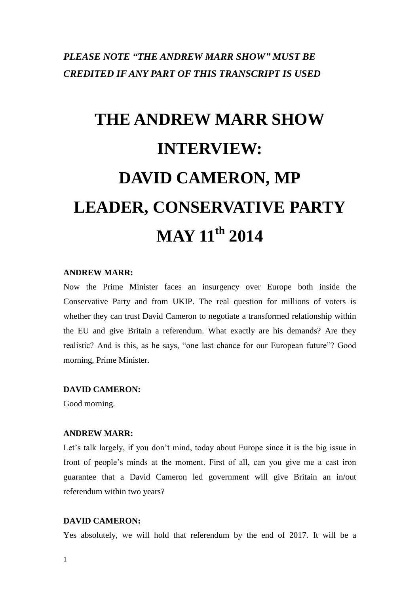# *PLEASE NOTE "THE ANDREW MARR SHOW" MUST BE CREDITED IF ANY PART OF THIS TRANSCRIPT IS USED*

# **THE ANDREW MARR SHOW INTERVIEW: DAVID CAMERON, MP LEADER, CONSERVATIVE PARTY MAY 11th 2014**

#### **ANDREW MARR:**

Now the Prime Minister faces an insurgency over Europe both inside the Conservative Party and from UKIP. The real question for millions of voters is whether they can trust David Cameron to negotiate a transformed relationship within the EU and give Britain a referendum. What exactly are his demands? Are they realistic? And is this, as he says, "one last chance for our European future"? Good morning, Prime Minister.

#### **DAVID CAMERON:**

Good morning.

#### **ANDREW MARR:**

Let's talk largely, if you don't mind, today about Europe since it is the big issue in front of people's minds at the moment. First of all, can you give me a cast iron guarantee that a David Cameron led government will give Britain an in/out referendum within two years?

#### **DAVID CAMERON:**

Yes absolutely, we will hold that referendum by the end of 2017. It will be a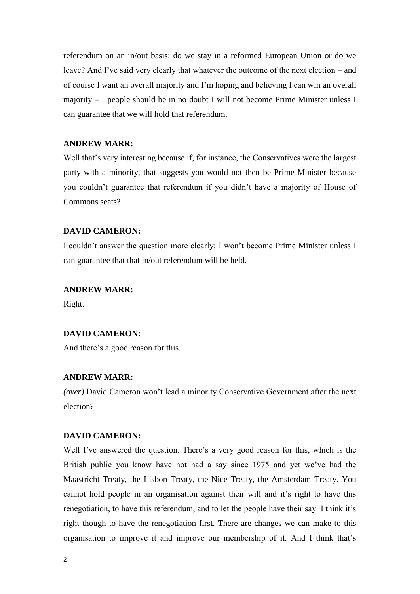referendum on an in/out basis: do we stay in a reformed European Union or do we leave? And I've said very clearly that whatever the outcome of the next election – and of course I want an overall majority and I'm hoping and believing I can win an overall majority – people should be in no doubt I will not become Prime Minister unless I can guarantee that we will hold that referendum.

# **ANDREW MARR:**

Well that's very interesting because if, for instance, the Conservatives were the largest party with a minority, that suggests you would not then be Prime Minister because you couldn't guarantee that referendum if you didn't have a majority of House of Commons seats?

#### **DAVID CAMERON:**

I couldn't answer the question more clearly: I won't become Prime Minister unless I can guarantee that that in/out referendum will be held.

#### **ANDREW MARR:**

Right.

#### **DAVID CAMERON:**

And there's a good reason for this.

# **ANDREW MARR:**

*(over)* David Cameron won't lead a minority Conservative Government after the next election?

# **DAVID CAMERON:**

Well I've answered the question. There's a very good reason for this, which is the British public you know have not had a say since 1975 and yet we've had the Maastricht Treaty, the Lisbon Treaty, the Nice Treaty, the Amsterdam Treaty. You cannot hold people in an organisation against their will and it's right to have this renegotiation, to have this referendum, and to let the people have their say. I think it's right though to have the renegotiation first. There are changes we can make to this organisation to improve it and improve our membership of it. And I think that's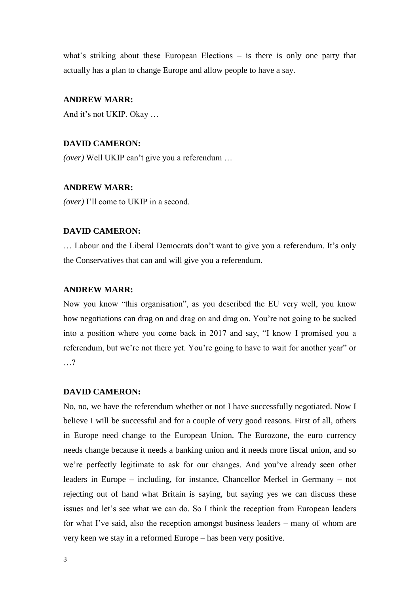what's striking about these European Elections – is there is only one party that actually has a plan to change Europe and allow people to have a say.

# **ANDREW MARR:**

And it's not UKIP. Okay …

# **DAVID CAMERON:**

*(over)* Well UKIP can't give you a referendum …

#### **ANDREW MARR:**

*(over)* I'll come to UKIP in a second.

#### **DAVID CAMERON:**

… Labour and the Liberal Democrats don't want to give you a referendum. It's only the Conservatives that can and will give you a referendum.

#### **ANDREW MARR:**

Now you know "this organisation", as you described the EU very well, you know how negotiations can drag on and drag on and drag on. You're not going to be sucked into a position where you come back in 2017 and say, "I know I promised you a referendum, but we're not there yet. You're going to have to wait for another year" or …?

#### **DAVID CAMERON:**

No, no, we have the referendum whether or not I have successfully negotiated. Now I believe I will be successful and for a couple of very good reasons. First of all, others in Europe need change to the European Union. The Eurozone, the euro currency needs change because it needs a banking union and it needs more fiscal union, and so we're perfectly legitimate to ask for our changes. And you've already seen other leaders in Europe – including, for instance, Chancellor Merkel in Germany – not rejecting out of hand what Britain is saying, but saying yes we can discuss these issues and let's see what we can do. So I think the reception from European leaders for what I've said, also the reception amongst business leaders – many of whom are very keen we stay in a reformed Europe – has been very positive.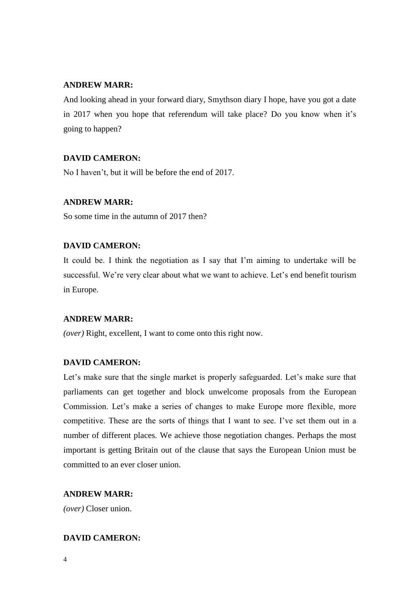# **ANDREW MARR:**

And looking ahead in your forward diary, Smythson diary I hope, have you got a date in 2017 when you hope that referendum will take place? Do you know when it's going to happen?

# **DAVID CAMERON:**

No I haven't, but it will be before the end of 2017.

#### **ANDREW MARR:**

So some time in the autumn of 2017 then?

# **DAVID CAMERON:**

It could be. I think the negotiation as I say that I'm aiming to undertake will be successful. We're very clear about what we want to achieve. Let's end benefit tourism in Europe.

# **ANDREW MARR:**

*(over)* Right, excellent, I want to come onto this right now.

# **DAVID CAMERON:**

Let's make sure that the single market is properly safeguarded. Let's make sure that parliaments can get together and block unwelcome proposals from the European Commission. Let's make a series of changes to make Europe more flexible, more competitive. These are the sorts of things that I want to see. I've set them out in a number of different places. We achieve those negotiation changes. Perhaps the most important is getting Britain out of the clause that says the European Union must be committed to an ever closer union.

#### **ANDREW MARR:**

*(over)* Closer union.

# **DAVID CAMERON:**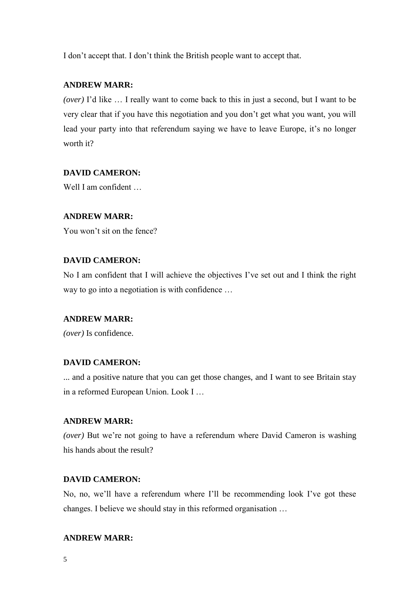I don't accept that. I don't think the British people want to accept that.

# **ANDREW MARR:**

*(over)* I'd like … I really want to come back to this in just a second, but I want to be very clear that if you have this negotiation and you don't get what you want, you will lead your party into that referendum saying we have to leave Europe, it's no longer worth it?

# **DAVID CAMERON:**

Well I am confident ...

# **ANDREW MARR:**

You won't sit on the fence?

# **DAVID CAMERON:**

No I am confident that I will achieve the objectives I've set out and I think the right way to go into a negotiation is with confidence …

#### **ANDREW MARR:**

*(over)* Is confidence.

# **DAVID CAMERON:**

... and a positive nature that you can get those changes, and I want to see Britain stay in a reformed European Union. Look I …

# **ANDREW MARR:**

*(over)* But we're not going to have a referendum where David Cameron is washing his hands about the result?

# **DAVID CAMERON:**

No, no, we'll have a referendum where I'll be recommending look I've got these changes. I believe we should stay in this reformed organisation …

#### **ANDREW MARR:**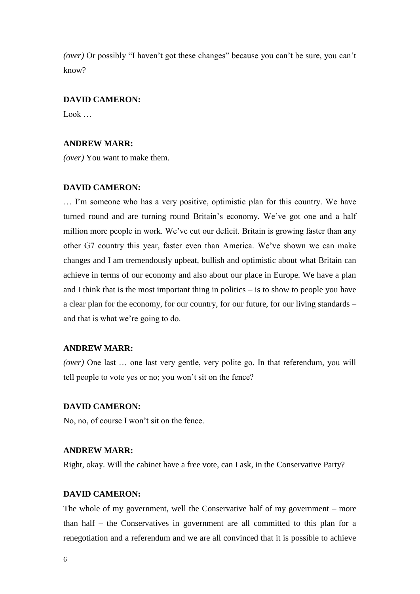*(over)* Or possibly "I haven't got these changes" because you can't be sure, you can't know?

#### **DAVID CAMERON:**

Look …

# **ANDREW MARR:**

*(over)* You want to make them.

#### **DAVID CAMERON:**

… I'm someone who has a very positive, optimistic plan for this country. We have turned round and are turning round Britain's economy. We've got one and a half million more people in work. We've cut our deficit. Britain is growing faster than any other G7 country this year, faster even than America. We've shown we can make changes and I am tremendously upbeat, bullish and optimistic about what Britain can achieve in terms of our economy and also about our place in Europe. We have a plan and I think that is the most important thing in politics – is to show to people you have a clear plan for the economy, for our country, for our future, for our living standards – and that is what we're going to do.

# **ANDREW MARR:**

*(over)* One last ... one last very gentle, very polite go. In that referendum, you will tell people to vote yes or no; you won't sit on the fence?

#### **DAVID CAMERON:**

No, no, of course I won't sit on the fence.

#### **ANDREW MARR:**

Right, okay. Will the cabinet have a free vote, can I ask, in the Conservative Party?

# **DAVID CAMERON:**

The whole of my government, well the Conservative half of my government – more than half – the Conservatives in government are all committed to this plan for a renegotiation and a referendum and we are all convinced that it is possible to achieve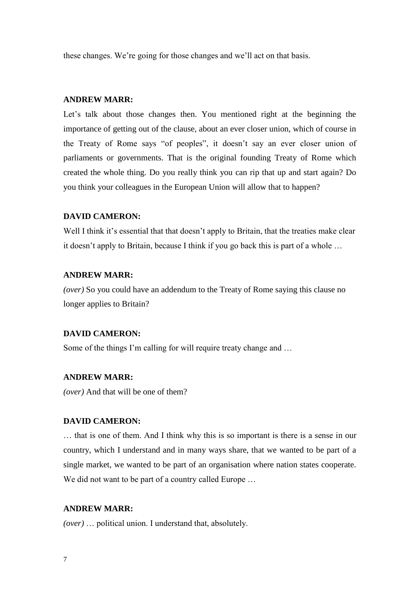these changes. We're going for those changes and we'll act on that basis.

# **ANDREW MARR:**

Let's talk about those changes then. You mentioned right at the beginning the importance of getting out of the clause, about an ever closer union, which of course in the Treaty of Rome says "of peoples", it doesn't say an ever closer union of parliaments or governments. That is the original founding Treaty of Rome which created the whole thing. Do you really think you can rip that up and start again? Do you think your colleagues in the European Union will allow that to happen?

## **DAVID CAMERON:**

Well I think it's essential that that doesn't apply to Britain, that the treaties make clear it doesn't apply to Britain, because I think if you go back this is part of a whole …

# **ANDREW MARR:**

*(over)* So you could have an addendum to the Treaty of Rome saying this clause no longer applies to Britain?

#### **DAVID CAMERON:**

Some of the things I'm calling for will require treaty change and …

# **ANDREW MARR:**

*(over)* And that will be one of them?

#### **DAVID CAMERON:**

… that is one of them. And I think why this is so important is there is a sense in our country, which I understand and in many ways share, that we wanted to be part of a single market, we wanted to be part of an organisation where nation states cooperate. We did not want to be part of a country called Europe ...

#### **ANDREW MARR:**

*(over)* … political union. I understand that, absolutely.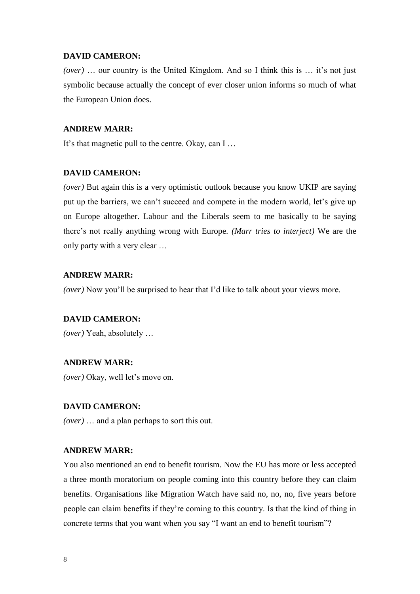*(over)* … our country is the United Kingdom. And so I think this is … it's not just symbolic because actually the concept of ever closer union informs so much of what the European Union does.

# **ANDREW MARR:**

It's that magnetic pull to the centre. Okay, can I …

#### **DAVID CAMERON:**

*(over)* But again this is a very optimistic outlook because you know UKIP are saying put up the barriers, we can't succeed and compete in the modern world, let's give up on Europe altogether. Labour and the Liberals seem to me basically to be saying there's not really anything wrong with Europe. *(Marr tries to interject)* We are the only party with a very clear …

#### **ANDREW MARR:**

*(over)* Now you'll be surprised to hear that I'd like to talk about your views more.

#### **DAVID CAMERON:**

*(over)* Yeah, absolutely …

#### **ANDREW MARR:**

*(over)* Okay, well let's move on.

#### **DAVID CAMERON:**

*(over)* … and a plan perhaps to sort this out.

#### **ANDREW MARR:**

You also mentioned an end to benefit tourism. Now the EU has more or less accepted a three month moratorium on people coming into this country before they can claim benefits. Organisations like Migration Watch have said no, no, no, five years before people can claim benefits if they're coming to this country. Is that the kind of thing in concrete terms that you want when you say "I want an end to benefit tourism"?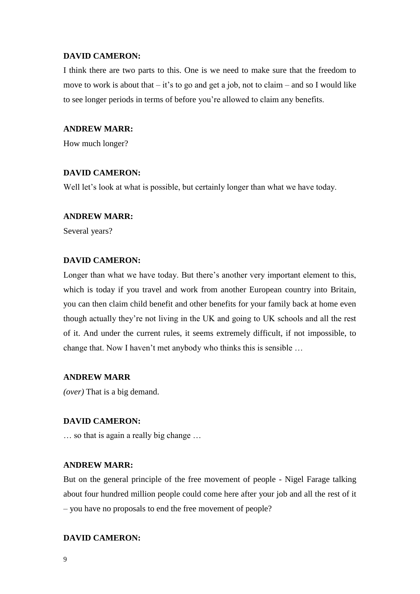I think there are two parts to this. One is we need to make sure that the freedom to move to work is about that  $-$  it's to go and get a job, not to claim – and so I would like to see longer periods in terms of before you're allowed to claim any benefits.

#### **ANDREW MARR:**

How much longer?

#### **DAVID CAMERON:**

Well let's look at what is possible, but certainly longer than what we have today.

## **ANDREW MARR:**

Several years?

# **DAVID CAMERON:**

Longer than what we have today. But there's another very important element to this, which is today if you travel and work from another European country into Britain, you can then claim child benefit and other benefits for your family back at home even though actually they're not living in the UK and going to UK schools and all the rest of it. And under the current rules, it seems extremely difficult, if not impossible, to change that. Now I haven't met anybody who thinks this is sensible …

# **ANDREW MARR**

*(over)* That is a big demand.

# **DAVID CAMERON:**

… so that is again a really big change …

#### **ANDREW MARR:**

But on the general principle of the free movement of people - Nigel Farage talking about four hundred million people could come here after your job and all the rest of it – you have no proposals to end the free movement of people?

#### **DAVID CAMERON:**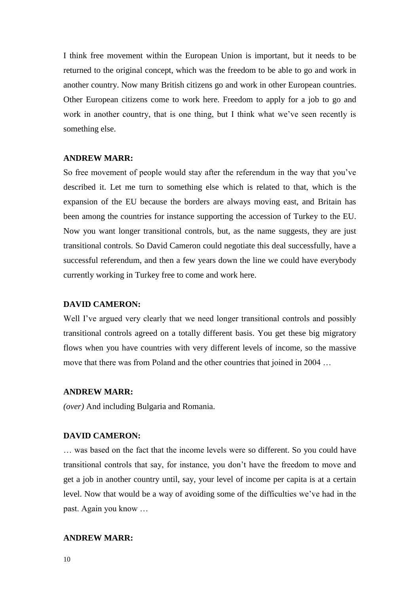I think free movement within the European Union is important, but it needs to be returned to the original concept, which was the freedom to be able to go and work in another country. Now many British citizens go and work in other European countries. Other European citizens come to work here. Freedom to apply for a job to go and work in another country, that is one thing, but I think what we've seen recently is something else.

#### **ANDREW MARR:**

So free movement of people would stay after the referendum in the way that you've described it. Let me turn to something else which is related to that, which is the expansion of the EU because the borders are always moving east, and Britain has been among the countries for instance supporting the accession of Turkey to the EU. Now you want longer transitional controls, but, as the name suggests, they are just transitional controls. So David Cameron could negotiate this deal successfully, have a successful referendum, and then a few years down the line we could have everybody currently working in Turkey free to come and work here.

#### **DAVID CAMERON:**

Well I've argued very clearly that we need longer transitional controls and possibly transitional controls agreed on a totally different basis. You get these big migratory flows when you have countries with very different levels of income, so the massive move that there was from Poland and the other countries that joined in 2004 …

#### **ANDREW MARR:**

*(over)* And including Bulgaria and Romania.

#### **DAVID CAMERON:**

… was based on the fact that the income levels were so different. So you could have transitional controls that say, for instance, you don't have the freedom to move and get a job in another country until, say, your level of income per capita is at a certain level. Now that would be a way of avoiding some of the difficulties we've had in the past. Again you know …

#### **ANDREW MARR:**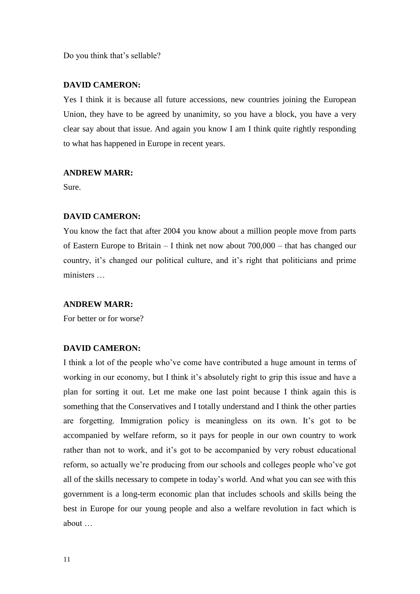Do you think that's sellable?

#### **DAVID CAMERON:**

Yes I think it is because all future accessions, new countries joining the European Union, they have to be agreed by unanimity, so you have a block, you have a very clear say about that issue. And again you know I am I think quite rightly responding to what has happened in Europe in recent years.

#### **ANDREW MARR:**

Sure.

#### **DAVID CAMERON:**

You know the fact that after 2004 you know about a million people move from parts of Eastern Europe to Britain – I think net now about 700,000 – that has changed our country, it's changed our political culture, and it's right that politicians and prime ministers …

#### **ANDREW MARR:**

For better or for worse?

# **DAVID CAMERON:**

I think a lot of the people who've come have contributed a huge amount in terms of working in our economy, but I think it's absolutely right to grip this issue and have a plan for sorting it out. Let me make one last point because I think again this is something that the Conservatives and I totally understand and I think the other parties are forgetting. Immigration policy is meaningless on its own. It's got to be accompanied by welfare reform, so it pays for people in our own country to work rather than not to work, and it's got to be accompanied by very robust educational reform, so actually we're producing from our schools and colleges people who've got all of the skills necessary to compete in today's world. And what you can see with this government is a long-term economic plan that includes schools and skills being the best in Europe for our young people and also a welfare revolution in fact which is about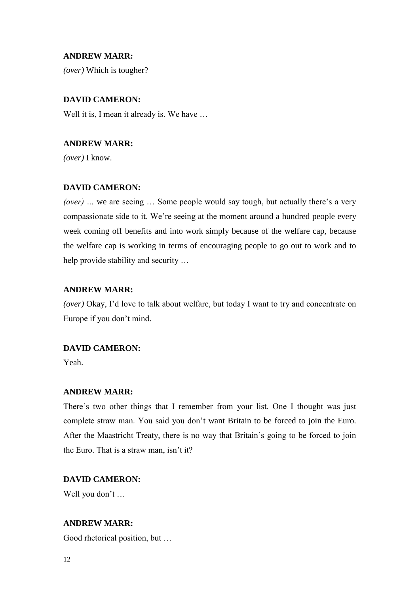# **ANDREW MARR:**

*(over)* Which is tougher?

# **DAVID CAMERON:**

Well it is, I mean it already is. We have ...

# **ANDREW MARR:**

*(over)* I know.

# **DAVID CAMERON:**

*(over) …* we are seeing … Some people would say tough, but actually there's a very compassionate side to it. We're seeing at the moment around a hundred people every week coming off benefits and into work simply because of the welfare cap, because the welfare cap is working in terms of encouraging people to go out to work and to help provide stability and security …

# **ANDREW MARR:**

*(over)* Okay, I'd love to talk about welfare, but today I want to try and concentrate on Europe if you don't mind.

# **DAVID CAMERON:**

Yeah.

#### **ANDREW MARR:**

There's two other things that I remember from your list. One I thought was just complete straw man. You said you don't want Britain to be forced to join the Euro. After the Maastricht Treaty, there is no way that Britain's going to be forced to join the Euro. That is a straw man, isn't it?

#### **DAVID CAMERON:**

Well you don't …

# **ANDREW MARR:**

Good rhetorical position, but …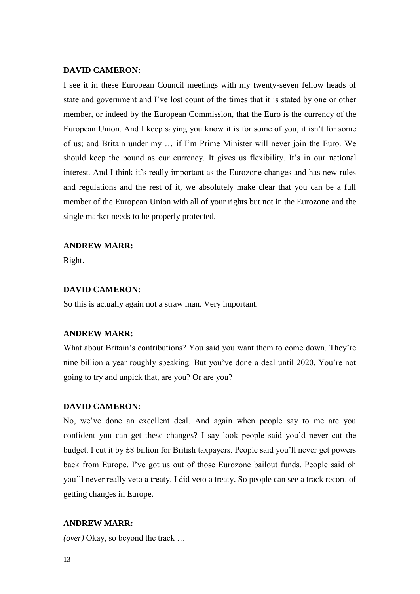I see it in these European Council meetings with my twenty-seven fellow heads of state and government and I've lost count of the times that it is stated by one or other member, or indeed by the European Commission, that the Euro is the currency of the European Union. And I keep saying you know it is for some of you, it isn't for some of us; and Britain under my … if I'm Prime Minister will never join the Euro. We should keep the pound as our currency. It gives us flexibility. It's in our national interest. And I think it's really important as the Eurozone changes and has new rules and regulations and the rest of it, we absolutely make clear that you can be a full member of the European Union with all of your rights but not in the Eurozone and the single market needs to be properly protected.

#### **ANDREW MARR:**

Right.

# **DAVID CAMERON:**

So this is actually again not a straw man. Very important.

#### **ANDREW MARR:**

What about Britain's contributions? You said you want them to come down. They're nine billion a year roughly speaking. But you've done a deal until 2020. You're not going to try and unpick that, are you? Or are you?

#### **DAVID CAMERON:**

No, we've done an excellent deal. And again when people say to me are you confident you can get these changes? I say look people said you'd never cut the budget. I cut it by £8 billion for British taxpayers. People said you'll never get powers back from Europe. I've got us out of those Eurozone bailout funds. People said oh you'll never really veto a treaty. I did veto a treaty. So people can see a track record of getting changes in Europe.

#### **ANDREW MARR:**

*(over)* Okay, so beyond the track …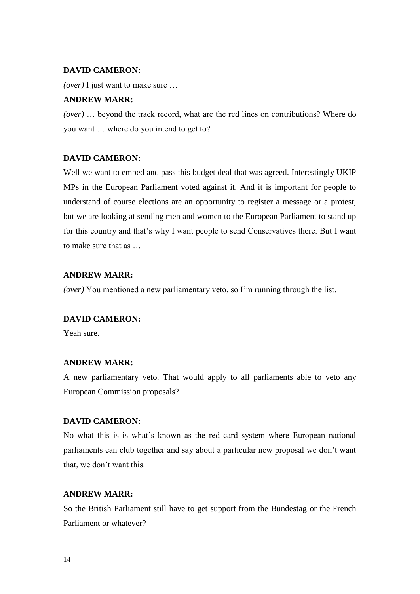*(over)* I just want to make sure …

# **ANDREW MARR:**

*(over)* … beyond the track record, what are the red lines on contributions? Where do you want … where do you intend to get to?

#### **DAVID CAMERON:**

Well we want to embed and pass this budget deal that was agreed. Interestingly UKIP MPs in the European Parliament voted against it. And it is important for people to understand of course elections are an opportunity to register a message or a protest, but we are looking at sending men and women to the European Parliament to stand up for this country and that's why I want people to send Conservatives there. But I want to make sure that as …

#### **ANDREW MARR:**

*(over)* You mentioned a new parliamentary veto, so I'm running through the list.

#### **DAVID CAMERON:**

Yeah sure.

#### **ANDREW MARR:**

A new parliamentary veto. That would apply to all parliaments able to veto any European Commission proposals?

#### **DAVID CAMERON:**

No what this is is what's known as the red card system where European national parliaments can club together and say about a particular new proposal we don't want that, we don't want this.

# **ANDREW MARR:**

So the British Parliament still have to get support from the Bundestag or the French Parliament or whatever?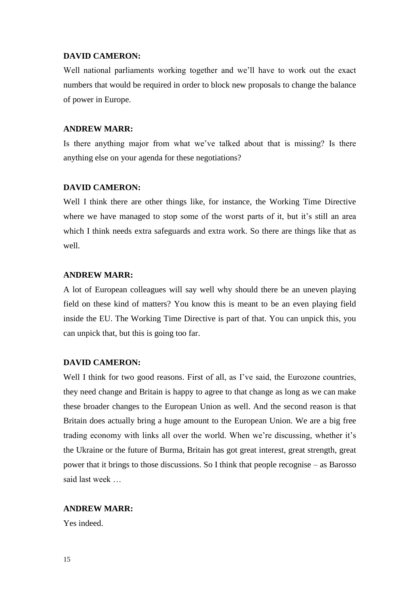Well national parliaments working together and we'll have to work out the exact numbers that would be required in order to block new proposals to change the balance of power in Europe.

#### **ANDREW MARR:**

Is there anything major from what we've talked about that is missing? Is there anything else on your agenda for these negotiations?

#### **DAVID CAMERON:**

Well I think there are other things like, for instance, the Working Time Directive where we have managed to stop some of the worst parts of it, but it's still an area which I think needs extra safeguards and extra work. So there are things like that as well.

#### **ANDREW MARR:**

A lot of European colleagues will say well why should there be an uneven playing field on these kind of matters? You know this is meant to be an even playing field inside the EU. The Working Time Directive is part of that. You can unpick this, you can unpick that, but this is going too far.

#### **DAVID CAMERON:**

Well I think for two good reasons. First of all, as I've said, the Eurozone countries, they need change and Britain is happy to agree to that change as long as we can make these broader changes to the European Union as well. And the second reason is that Britain does actually bring a huge amount to the European Union. We are a big free trading economy with links all over the world. When we're discussing, whether it's the Ukraine or the future of Burma, Britain has got great interest, great strength, great power that it brings to those discussions. So I think that people recognise – as Barosso said last week …

#### **ANDREW MARR:**

Yes indeed.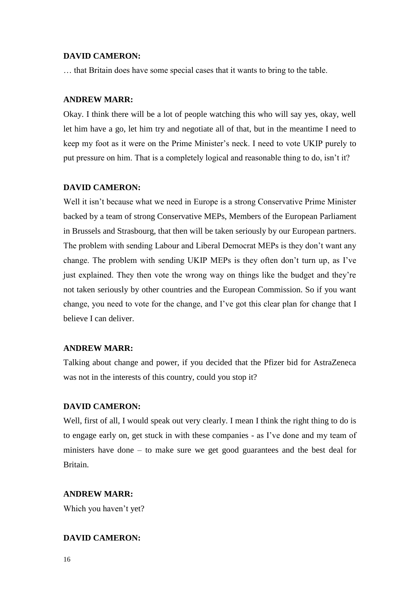… that Britain does have some special cases that it wants to bring to the table.

# **ANDREW MARR:**

Okay. I think there will be a lot of people watching this who will say yes, okay, well let him have a go, let him try and negotiate all of that, but in the meantime I need to keep my foot as it were on the Prime Minister's neck. I need to vote UKIP purely to put pressure on him. That is a completely logical and reasonable thing to do, isn't it?

#### **DAVID CAMERON:**

Well it isn't because what we need in Europe is a strong Conservative Prime Minister backed by a team of strong Conservative MEPs, Members of the European Parliament in Brussels and Strasbourg, that then will be taken seriously by our European partners. The problem with sending Labour and Liberal Democrat MEPs is they don't want any change. The problem with sending UKIP MEPs is they often don't turn up, as I've just explained. They then vote the wrong way on things like the budget and they're not taken seriously by other countries and the European Commission. So if you want change, you need to vote for the change, and I've got this clear plan for change that I believe I can deliver.

# **ANDREW MARR:**

Talking about change and power, if you decided that the Pfizer bid for AstraZeneca was not in the interests of this country, could you stop it?

# **DAVID CAMERON:**

Well, first of all, I would speak out very clearly. I mean I think the right thing to do is to engage early on, get stuck in with these companies - as I've done and my team of ministers have done – to make sure we get good guarantees and the best deal for Britain.

# **ANDREW MARR:**

Which you haven't yet?

# **DAVID CAMERON:**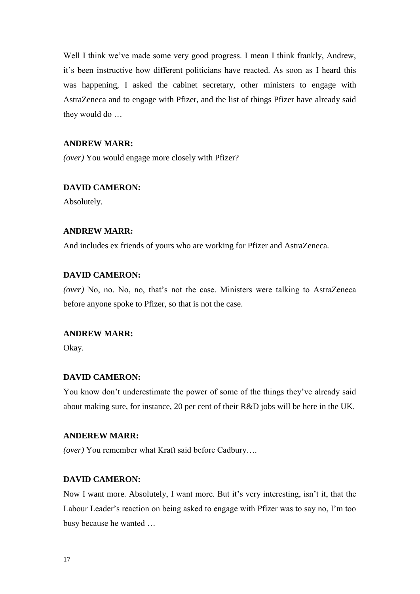Well I think we've made some very good progress. I mean I think frankly, Andrew, it's been instructive how different politicians have reacted. As soon as I heard this was happening, I asked the cabinet secretary, other ministers to engage with AstraZeneca and to engage with Pfizer, and the list of things Pfizer have already said they would do …

# **ANDREW MARR:**

*(over)* You would engage more closely with Pfizer?

#### **DAVID CAMERON:**

Absolutely.

#### **ANDREW MARR:**

And includes ex friends of yours who are working for Pfizer and AstraZeneca.

#### **DAVID CAMERON:**

*(over)* No, no. No, no, that's not the case. Ministers were talking to AstraZeneca before anyone spoke to Pfizer, so that is not the case.

#### **ANDREW MARR:**

Okay.

# **DAVID CAMERON:**

You know don't underestimate the power of some of the things they've already said about making sure, for instance, 20 per cent of their R&D jobs will be here in the UK.

#### **ANDEREW MARR:**

*(over)* You remember what Kraft said before Cadbury….

# **DAVID CAMERON:**

Now I want more. Absolutely, I want more. But it's very interesting, isn't it, that the Labour Leader's reaction on being asked to engage with Pfizer was to say no, I'm too busy because he wanted …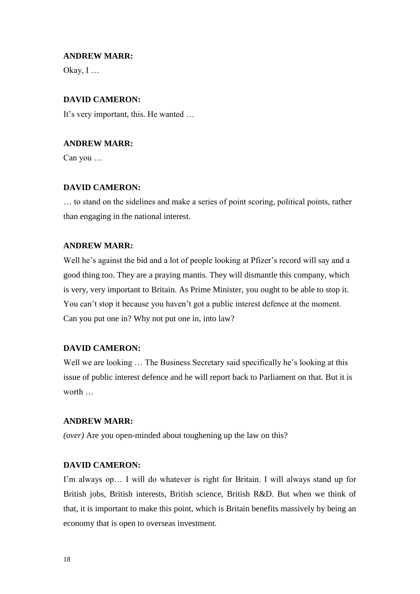# **ANDREW MARR:**

Okay, I …

# **DAVID CAMERON:**

It's very important, this. He wanted …

# **ANDREW MARR:**

Can you …

# **DAVID CAMERON:**

… to stand on the sidelines and make a series of point scoring, political points, rather than engaging in the national interest.

# **ANDREW MARR:**

Well he's against the bid and a lot of people looking at Pfizer's record will say and a good thing too. They are a praying mantis. They will dismantle this company, which is very, very important to Britain. As Prime Minister, you ought to be able to stop it. You can't stop it because you haven't got a public interest defence at the moment. Can you put one in? Why not put one in, into law?

# **DAVID CAMERON:**

Well we are looking ... The Business Secretary said specifically he's looking at this issue of public interest defence and he will report back to Parliament on that. But it is worth …

#### **ANDREW MARR:**

*(over)* Are you open-minded about toughening up the law on this?

#### **DAVID CAMERON:**

I'm always op… I will do whatever is right for Britain. I will always stand up for British jobs, British interests, British science, British R&D. But when we think of that, it is important to make this point, which is Britain benefits massively by being an economy that is open to overseas investment.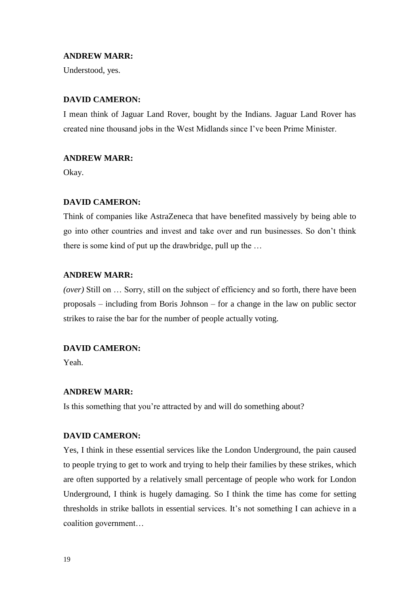#### **ANDREW MARR:**

Understood, yes.

#### **DAVID CAMERON:**

I mean think of Jaguar Land Rover, bought by the Indians. Jaguar Land Rover has created nine thousand jobs in the West Midlands since I've been Prime Minister.

#### **ANDREW MARR:**

Okay.

# **DAVID CAMERON:**

Think of companies like AstraZeneca that have benefited massively by being able to go into other countries and invest and take over and run businesses. So don't think there is some kind of put up the drawbridge, pull up the …

#### **ANDREW MARR:**

*(over)* Still on … Sorry, still on the subject of efficiency and so forth, there have been proposals – including from Boris Johnson – for a change in the law on public sector strikes to raise the bar for the number of people actually voting.

# **DAVID CAMERON:**

Yeah.

#### **ANDREW MARR:**

Is this something that you're attracted by and will do something about?

#### **DAVID CAMERON:**

Yes, I think in these essential services like the London Underground, the pain caused to people trying to get to work and trying to help their families by these strikes, which are often supported by a relatively small percentage of people who work for London Underground, I think is hugely damaging. So I think the time has come for setting thresholds in strike ballots in essential services. It's not something I can achieve in a coalition government…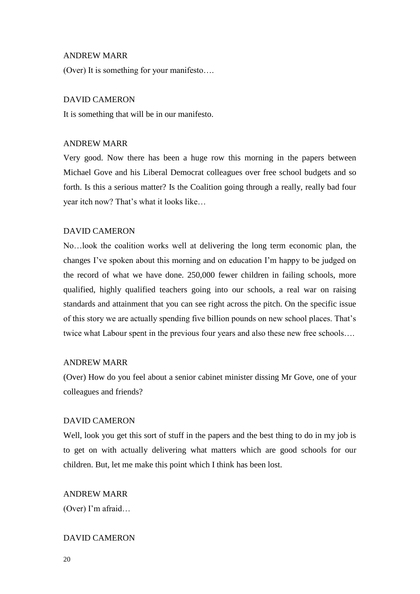#### ANDREW MARR

(Over) It is something for your manifesto….

#### DAVID CAMERON

It is something that will be in our manifesto.

#### ANDREW MARR

Very good. Now there has been a huge row this morning in the papers between Michael Gove and his Liberal Democrat colleagues over free school budgets and so forth. Is this a serious matter? Is the Coalition going through a really, really bad four year itch now? That's what it looks like…

#### DAVID CAMERON

No…look the coalition works well at delivering the long term economic plan, the changes I've spoken about this morning and on education I'm happy to be judged on the record of what we have done. 250,000 fewer children in failing schools, more qualified, highly qualified teachers going into our schools, a real war on raising standards and attainment that you can see right across the pitch. On the specific issue of this story we are actually spending five billion pounds on new school places. That's twice what Labour spent in the previous four years and also these new free schools….

#### ANDREW MARR

(Over) How do you feel about a senior cabinet minister dissing Mr Gove, one of your colleagues and friends?

#### DAVID CAMERON

Well, look you get this sort of stuff in the papers and the best thing to do in my job is to get on with actually delivering what matters which are good schools for our children. But, let me make this point which I think has been lost.

#### ANDREW MARR

(Over) I'm afraid…

#### DAVID CAMERON